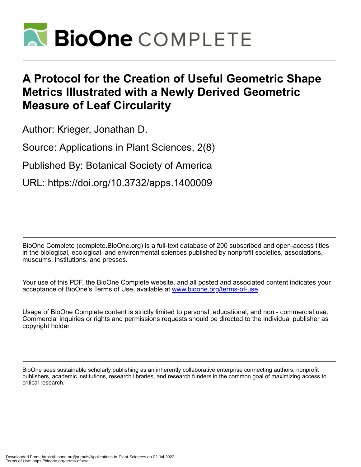

# **A Protocol for the Creation of Useful Geometric Shape Metrics Illustrated with a Newly Derived Geometric Measure of Leaf Circularity**

Author: Krieger, Jonathan D.

Source: Applications in Plant Sciences, 2(8)

Published By: Botanical Society of America

URL: https://doi.org/10.3732/apps.1400009

BioOne Complete (complete.BioOne.org) is a full-text database of 200 subscribed and open-access titles in the biological, ecological, and environmental sciences published by nonprofit societies, associations, museums, institutions, and presses.

Your use of this PDF, the BioOne Complete website, and all posted and associated content indicates your acceptance of BioOne's Terms of Use, available at www.bioone.org/terms-of-use.

Usage of BioOne Complete content is strictly limited to personal, educational, and non - commercial use. Commercial inquiries or rights and permissions requests should be directed to the individual publisher as copyright holder.

BioOne sees sustainable scholarly publishing as an inherently collaborative enterprise connecting authors, nonprofit publishers, academic institutions, research libraries, and research funders in the common goal of maximizing access to critical research.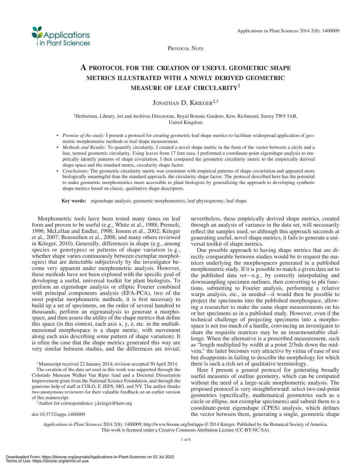

PROTOCOL NOTE

## **A PROTOCOL FOR THE CREATION OF USEFUL GEOMETRIC SHAPE METRICS ILLUSTRATED WITH A NEWLY DERIVED GEOMETRIC MEASURE OF LEAF CIRCULARITY**<sup>1</sup>

### JONATHAN D. KRIEGER<sup>2,3</sup>

2 Herbarium, Library, Art and Archives Directorate, Royal Botanic Gardens, Kew, Richmond, Surrey TW9 3AB, United Kingdom

- *Premise of the study:* I present a protocol for creating geometric leaf shape metrics to facilitate widespread application of geometric morphometric methods to leaf shape measurement.
- *Methods and Results:* To quantify circularity, I created a novel shape metric in the form of the vector between a circle and a line, termed geometric circularity. Using leaves from 17 fern taxa, I performed a coordinate-point eigenshape analysis to empirically identify patterns of shape covariation. I then compared the geometric circularity metric to the empirically derived shape space and the standard metric, circularity shape factor.
- *Conclusions:* The geometric circularity metric was consistent with empirical patterns of shape covariation and appeared more biologically meaningful than the standard approach, the circularity shape factor. The protocol described here has the potential to make geometric morphometrics more accessible to plant biologists by generalizing the approach to developing synthetic shape metrics based on classic, qualitative shape descriptors.

 **Key words:** eigenshape analysis; geometric morphometrics; leaf physiognomy; leaf shape.

 Morphometric tools have been tested many times on leaf form and proven to be useful (e.g., White et al., 1988; Premoli, 1996; McLellan and Endler, 1998; Jensen et al., 2002; Krieger et al., 2007 ; Bensmihen et al., 2008 ; and many others reviewed in Krieger, 2010). Generally, differences in shape (e.g., among species or genotypes) or patterns of shape variation (e.g., whether shape varies continuously between exemplar morphologies) that are detectable subjectively by the investigator become very apparent under morphometric analysis. However, these methods have not been explored with the specific goal of developing a useful, universal toolkit for plant biologists. To perform an eigenshape analysis or elliptic Fourier combined with principal components analysis (EFA-PCA), two of the most popular morphometric methods, it is first necessary to build up a set of specimens, on the order of several hundred to thousands, perform an eigenanalysis to generate a morphospace, and then assess the utility of the shape metrics that define this space (in this context, each axis  $x$ ,  $y$ ,  $z$ , etc. in the multidimensional morphospace is a shape metric, with movement along each axis describing some pattern of shape variation). It is often the case that the shape metrics generated this way are very similar between studies, and the differences are trivial;

1 Manuscript received 22 January 2014; revision accepted 30 April 2014. The creation of the data set used in this work was supported through the Colorado Museum Walker Van Riper fund and a Doctoral Dissertation Improvement grant from the National Science Foundation, and through the generous help of staff at COLO, F, JEPS, MO, and NY. The author thanks two anonymous reviewers for their valuable feedback on an earlier version of this manuscript. 3 Author for correspondence: j.krieger@kew.org

#### doi:10.3732/apps.1400009

nevertheless, these empirically derived shape metrics, created through an analysis of variance in the data set, will necessarily reflect the samples used, so although this approach succeeds at generating useful, novel shape metrics, it fails to generate a universal toolkit of shape metrics.

 One possible approach to having shape metrics that are directly comparable between studies would be to request the matrices underlying the morphospaces generated in a published morphometric study. If it is possible to match a given data set to the published data set—e.g., by correctly interpolating and downsampling specimen outlines, then converting to phi functions, submitting to Fourier analysis, performing a relative warps analysis, etc., as needed—it would then be possible to project the specimens into the published morphospace, allowing a researcher to make the same shape measurements on his or her specimens as in a published study. However, even if the technical challenge of projecting specimens into a morphospace is not too much of a hurdle, convincing an investigator to share the requisite matrices may be an insurmountable challenge. When the alternative is a proscribed measurement, such as "length multiplied by width at a point 2/3rds down the midvein," the latter becomes very attractive by virtue of ease of use but disappoints in failing to describe the morphology for which there is such a rich set of qualitative terminology.

 Here I present a general protocol for generating broadly useful measures of outline geometry, which can be computed without the need of a large-scale morphometric analysis. The proposed protocol is very straightforward: select two end-point geometries (specifically, mathematical geometries such as a circle or ellipse, not exemplar specimens) and submit them to a coordinate-point eigenshape (CPES) analysis, which defines the vector between them, generating a single, geometric shape

*Applications in Plant Sciences* 2014 2(8): 1400009; http://www.bioone.org/loi/apps © 2014 Krieger. Published by the Botanical Society of America. This work is licensed under a Creative Commons Attribution License (CC-BY-NC-SA).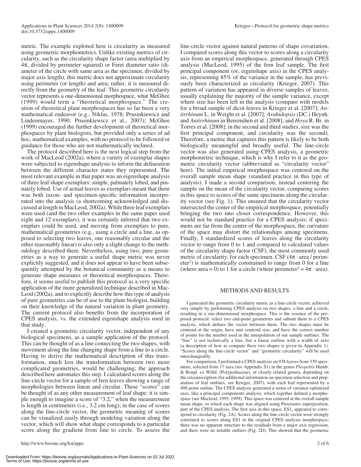metric. The example explored here is circularity as measured using geometric morphometrics. Unlike existing metrics of circularity, such as the circularity shape factor (area multiplied by  $4\pi$ , divided by perimeter squared) or Feret diameter ratio (diameter of the circle with same area as the specimen, divided by major axis length), this metric does not approximate circularity using perimeter (or length) and area; rather, it is measured directly from the geometry of the leaf. This geometric circularity vector represents a one-dimensional morphospace, what McGhee (1999) would term a "theoretical morphospace." The creation of theoretical plant morphospaces has so far been a very mathematical endeavor (e.g., Niklas, 1978; Prusinkiewicz and Lindenmayer, 1990; Prusinkiewicz et al., 2007); McGhee (1999) encouraged the further development of theoretical morphospaces by plant biologists, but provided only a series of ad hoc, mathematical examples, with no protocol to be followed or guidance for those who are not mathematically inclined.

 The protocol described here is the next logical step from the work of MacLeod (2002a), where a variety of exemplar shapes were subjected to eigenshape analysis to inform the delineation between the different character states they represented. The most relevant example in that paper was an eigenshape analysis of three leaf shape exemplars: simple, palmately lobed, and pinnately lobed. Use of actual leaves as exemplars meant that there was both taxon- and specimen-specific information incorporated into the analysis (a shortcoming acknowledged and discussed at length in MacLeod, 2002a ). While three leaf exemplars were used (and the two other examples in the same paper used eight and 12 exemplars), it was certainly inferred that two exemplars could be used, and moving from exemplars to pure, mathematical geometries (e.g., using a circle and a line, as opposed to selecting two leaves, one reasonably circular and the other reasonably linear) is also only a slight change to the methodology described there. Nevertheless, using two, pure geometries as a way to generate a useful shape metric was never explicitly suggested, and it does not appear to have been subsequently attempted by the botanical community as a means to generate shape measures or theoretical morphospaces. Therefore, it seems useful to publish this protocol as a very specific application of the more generalized technique described in Mac-Leod (2002a), and to explicitly describe how this type of analysis of pure geometries can be of use to the plant biologist, building on their knowledge of the natural variation in plant geometry. The current protocol also benefits from the incorporation of CPES analysis, vs. the extended eigenshape analysis used in that study.

 I created a geometric circularity vector, independent of any biological specimens, as a sample application of the protocol. This can be thought of as a line connecting the two shapes, with movement along the line changing shape from a line to a circle. Having to derive the mathematical description of this transformation, much less the transformation between two more complicated geometries, would be challenging; the approach described here automates this step. I calculated scores along the line-circle vector for a sample of fern leaves showing a range of morphologies between linear and circular. These "scores" can be thought of as any other measurement of leaf shape: it is simple enough to imagine a score of "3.2," when the measurement is length in centimeters (i.e., 3.2 cm long); in the case of scores along the line-circle vector, the geometric meaning of scores can be visualized easily through modeling variation along the vector, which will show what shape corresponds to a particular score along the gradient from line to circle. To assess the

line-circle vector against natural patterns of shape covariation, I compared scores along this vector to scores along a circularity axis from an empirical morphospace, generated through CPES analysis (MacLeod, 1995) of the fern leaf sample. The first principal component (or, eigenshape axis) in the CPES analysis, representing 85% of the variance in the sample, has previously been characterized as circularity (Krieger, 2007). This pattern of variation has appeared in diverse samples of leaves, usually explaining the majority of the sample variance, except where size has been left in the analysis (compare with models for a broad sample of dicot leaves in Krieger et al. [2007] ; *Antirrhinum* L. in Weight et al. [2007] ; *Arabidopsis* (DC.) Heynh. and *Antirrhinum* in Bensmihen et al. [2008] ; and *Hoya* R. Br. in Torres et al. [2008] ; in the second and third studies, size was the first principal component, and circularity was the second). Therefore, a metric that captures this pattern is likely to be both biologically meaningful and broadly useful. The line-circle vector was also generated using CPES analysis, a geometric morphometric technique, which is why I refer to it as the geometric circularity vector (abbreviated as "circularity vector" here). The initial empirical morphospace was centered on the overall sample mean shape (standard practice in this type of analysis). I made a second comparison, instead centering the sample on the mean of the circularity vector, comparing scores in this space to scores of the same specimens along the circularity vector (see Fig. 1). This ensured that the circularity vector intersected the center of the empirical morphospace, potentially bringing the two into closer correspondence. However, this would not be standard practice for a CPES analysis; if specimens are far from the center of the morphospace, the curvature of the space may distort the relationships among specimens. Finally, I standardized scores of leaves along the circularity vector to range from 0 to 1 and compared to calculated values of the circularity shape factor (CSF), the most commonly used metric of circularity, for each specimen. CSF  $(4\pi \cdot \text{area}/\text{perim})$  $eter<sup>2</sup>$ ) is mathematically constrained to range from 0 for a line (where area = 0) to 1 for a circle (where perimeter<sup>2</sup> =  $4\pi \cdot$  area).

#### METHODS AND RESULTS

 I generated the geometric circularity metric as a line-circle vector, achieved very simply by performing CPES analysis on two shapes, a line and a circle, resulting in a one-dimensional morphospace. This is the essence of the proposed protocol: select two end-point geometries and submit them to a CPES analysis, which defines the vector between them. The two shapes must be centered at the origin, have unit centroid size, and have the correct number of points for the number used in the interpolation of our sample outlines. The "line" is not technically a line, but a linear outline with a width of zero (a description of how to compute these two shapes is given in Appendix 1). "Scores along the line-circle vector" and "geometric circularity" will be used interchangeably.

 For comparison, I performed a CPES analysis on 938 leaves from 339 specimens, selected from 17 taxa (see Appendix S1) in the genus *Pleopeltis* Humb. & Bonpl. ex Willd. (Polypodiaceae), or closely related genera, depending on the circumscription (for additional information on specimen selection and preparation of leaf outlines, see Krieger, 2007), with each leaf represented by a 498-point outline. The CPES analysis generated a series of variance-optimized axes, like a principal components analysis, which together defined a morphospace (see Macleod, 1995, 1999). This space was centered at the overall sample mean shape, to which each shape was aligned using Procrustes superposition, part of the CPES analysis. The first axis in this space, ES1, appeared to correspond to circularity (Fig. 2A). Scores along the line-circle vector were strongly correlated to scores along ES1 in the original CPES analysis morphospace; there was no apparent structure to the residuals from a major axis regression, and there were no notable outliers (Fig. 2D). This showed that the geometric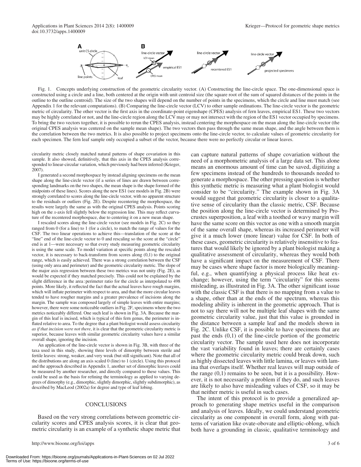

 Fig. 1. Concepts underlying construction of the geometric circularity vector. (A) Constructing the line-circle space. The one-dimensional space is constructed using a circle and a line, both centered at the origin with unit centroid size (the square root of the sum of squared distances of the points in the outline to the outline centroid). The size of the two shapes will depend on the number of points in the specimens, which the circle and line must match (see Appendix 1 for the relevant computations). (B) Comparing the line-circle vector (LCV) to other sample ordinations. The line-circle vector is the geometric metric of circularity. The other vector is the first axis in the coordinate-point eigenshape (CPES) analysis of fern leaves, empirical ES1. These two vectors may be highly correlated or not, and the line-circle region along the LCV may or may not intersect with the region of the ES1 vector occupied by specimens. To bring the two vectors together, it is possible to rerun the CPES analysis, instead centering the morphospace on the mean along the line-circle vector (the original CPES analysis was centered on the sample mean shape). The two vectors then pass through the same mean shape, and the angle between them is the correlation between the two metrics. It is also possible to project specimens onto the line-circle vector, to calculate values of geometric circularity for each specimen. The fern leaf sample only occupied a subset of the vector, because there were no perfectly circular or linear leaves.

circularity metric closely matched natural patterns of shape covariation in this sample. It also showed, definitively, that this axis in the CPES analysis corresponded to linear-circular variation, which previously had been inferred (Krieger, 2007).

 I generated a second morphospace by instead aligning specimens on the mean shape along the line-circle vector (if a series of lines are drawn between corresponding landmarks on the two shapes, the mean shape is the shape formed of the midpoints of these lines). Scores along the new ES1 (see models in Fig. 2B) were strongly correlated to scores along the line-circle vector, with no apparent structure to the residuals or outliers (Fig. 2E). Despite recentering the morphospace, the results were largely the same as with the original CPES analysis. Points scoring high on the *x*-axis fell slightly below the regression line. This may reflect curvature of the recentered morphospace, due to centering it on a new mean shape.

 I rescaled scores along the line-circle vector (see models in Fig. 2C ) so they ranged from 0 (for a line) to 1 (for a circle), to match the range of values for the CSF. The two linear operations to achieve this—translation of the score at the "line" end of the line-circle vector to 0 and rescaling so the score at the "circle" end is at 1—were necessary so that every study measuring geometric circularity is using the same scale. To model variation at specific points along the rescaled vector, it is necessary to back-transform from scores along (0,1) to the original range, which is easily achieved. There was a strong correlation between the CSF (using only area and perimeter) and the geometric circularity metric. The slope of the major axis regression between these two metrics was not unity (Fig. 2E), as would be expected if they matched precisely. This could not be explained by the slight difference in the area : perimeter ratio for the circle as interpolated to 498 points. More likely, it reflected the fact that the actual leaves have rough margins, which will inflate perimeter with respect to area, and that the more circular leaves tended to have rougher margins and a greater prevalence of incisions along the margin. The sample was composed largely of simple leaves with entire margins; however, there were some noticeable outliers in Fig. 2F , specimens where the two metrics noticeably differed. One such leaf is shown in Fig. 3A . Because the margin of this leaf is incised, which is typical of this fern genus, the perimeter is inflated relative to area. To the degree that a plant biologist would assess circularity *as if that incision were not there* , it is clear that the geometric circularity metric is superior, because leaves with similar geometric circularity values have a similar overall shape, ignoring the incision.

 An application of the line-circle vector is shown in Fig. 3B , with three of the taxa used in this study, showing three levels of dimorphy between sterile and fertile leaves: strong, weaker, and very weak (but still significant). Note that all of the distributions are along an axis scaled 0 (line) to 1 (circle). Using this protocol and the approach described in Appendix 1, another set of dimorphic leaves could be measured by another researcher, and directly compared to these values. This could be used as the basis for refining the terminology as applied to varying degrees of dimorphy (e.g., dimorphic, slightly dimorphic, slightly subdimorphic), as described by MacLeod (2002a) for degree and type of leaf lobing.

#### CONCLUSIONS

 Based on the very strong correlations between geometric circularity scores and CPES analysis scores, it is clear that geometric circularity is an example of a synthetic shape metric that can capture natural patterns of shape covariation without the need of a morphometric analysis of a large data set. This alone means an enormous amount of time can be saved, digitizing a few specimens instead of the hundreds to thousands needed to generate a morphospace. The other pressing question is whether this synthetic metric is measuring what a plant biologist would consider to be "circularity." The example shown in Fig. 3A would suggest that geometric circularity is closer to a qualitative sense of circularity than the classic metric, CSF. Because the position along the line-circle vector is determined by Procrustes superposition, a leaf with a toothed or wavy margin will have the same score on this vector as one with a smooth margin of the same overall shape, whereas its increased perimeter will give it a much lower (more linear) value for CSF. In both of these cases, geometric circularity is relatively insensitive to features that would likely be ignored by a plant biologist making a qualitative assessment of circularity, whereas they would both have a significant impact on the measurement of CSF. There may be cases where shape factor is more biologically meaningful, e.g., when quantifying a physical process like heat exchange; however, using the term "circularity" for this seems misleading, as illustrated in Fig. 3A. The other significant issue with the classic CSF is that there is no mapping from a value to a shape, other than at the ends of the spectrum, whereas this modeling ability is inherent in the geometric approach. That is not to say there will not be multiple leaf shapes with the same geometric circularity value, just that this value is grounded in the distance between a sample leaf and the models shown in Fig. 2C. Unlike CSF, it is possible to have specimens that are past the ends (0,1) of the line-circle portion of the geometric circularity vector. The sample used here does not incorporate the vast variability found in leaves; there are certainly cases where the geometric circularity metric could break down, such as highly dissected leaves with little lamina, or leaves with lamina that overlaps itself. Whether real leaves will map outside of the range  $(0,1)$  remains to be seen, but it is a possibility. However, it is not necessarily a problem if they do, and such leaves are likely to also have misleading values of CSF, so it may be that neither metric is useful in such cases.

 The intent of this protocol is to provide a generalized approach to generating shape metrics useful in the comparison and analysis of leaves. Ideally, we could understand geometric circularity as one component in overall form, along with patterns of variation like ovate-obovate and elliptic-oblong, which both have a grounding in classic, qualitative terminology and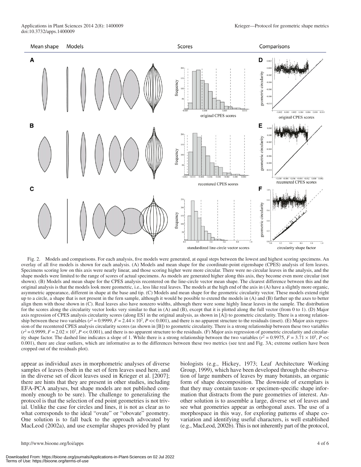

Fig. 2. Models and comparisons. For each analysis, five models were generated, at equal steps between the lowest and highest scoring specimens. An overlay of all five models is shown for each analysis. (A) Models and mean shape for the coordinate-point eigenshape (CPES) analysis of fern leaves. Specimens scoring low on this axis were nearly linear, and those scoring higher were more circular. There were no circular leaves in the analysis, and the shape models were limited to the range of scores of actual specimens. As models are generated higher along this axis, they become even more circular (not shown). (B) Models and mean shape for the CPES analysis recentered on the line-circle vector mean shape. The clearest difference between this and the original analysis is that the models look more geometric, i.e., less like real leaves. The models at the high end of the axis in (A) have a slightly more organic, asymmetric appearance, different in shape at the base and tip. (C) Models and mean shape for the geometric circularity vector. These models extend right up to a circle, a shape that is not present in the fern sample, although it would be possible to extend the models in (A) and (B) farther up the axes to better align them with those shown in (C). Real leaves also have nonzero widths, although there were some highly linear leaves in the sample. The distribution for the scores along the circularity vector looks very similar to that in (A) and (B), except that it is plotted along the full vector (from 0 to 1). (D) Major axis regression of CPES analysis circularity scores (along ES1 in the original analysis, as shown in [A]) to geometric circularity. There is a strong relationship between these two variables  $(r^2 = 0.9999, F = 2.44 \times 10^7, P \ll 0.001)$ , and there is no apparent structure to the residuals (inset). (E) Major axis regression of the recentered CPES analysis circularity scores (as shown in [B]) to geometric circularity. There is a strong relationship between these two variables  $(r^2 = 0.9999, F = 2.02 \times 10^7, P \ll 0.001)$ , and there is no apparent structure to the residuals. (F) Major axis regression of geometric circularity and circularity shape factor. The dashed line indicates a slope of 1. While there is a strong relationship between the two variables ( $r^2 = 0.9975$ ,  $F = 3.71 \times 10^5$ ,  $P \ll$ 0.001), there are clear outliers, which are informative as to the differences between these two metrics (see text and Fig. 3A; extreme outliers have been cropped out of the residuals plot).

appear as individual axes in morphometric analyses of diverse samples of leaves (both in the set of fern leaves used here, and in the diverse set of dicot leaves used in Krieger et al. [2007]; there are hints that they are present in other studies, including EFA-PCA analyses, but shape models are not published commonly enough to be sure). The challenge to generalizing the protocol is that the selection of end point geometries is not trivial. Unlike the case for circles and lines, it is not as clear as to what corresponds to the ideal "ovate" or "obovate" geometry. One solution is to fall back to the approach advocated by MacLeod (2002a), and use exemplar shapes provided by plant biologists (e.g., Hickey, 1973; Leaf Architecture Working Group, 1999), which have been developed through the observation of large numbers of leaves by many botanists, an organic form of shape decomposition. The downside of exemplars is that they may contain taxon- or specimen-specific shape information that distracts from the pure geometries of interest. Another solution is to assemble a large, diverse set of leaves and see what geometries appear as orthogonal axes. The use of a morphospace in this way, for exploring patterns of shape covariation and identifying useful characters, is well established (e.g., MacLeod, 2002b). This is not inherently part of the protocol,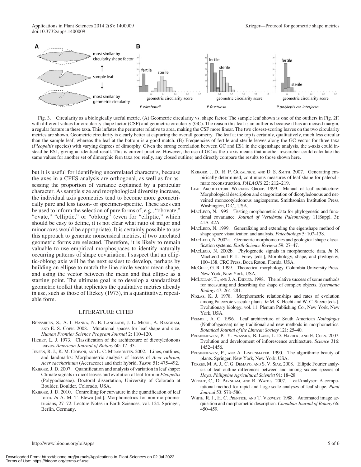Applications in Plant Sciences 2014 2(8): 1400009 Krieger—Protocol for geometric shape metrics doi:10.3732/apps.1400009



Fig. 3. Circularity as a biologically useful metric. (A) Geometric circularity vs. shape factor. The sample leaf shown is one of the outliers in Fig. 2F, with different values for circularity shape factor (CSF) and geometric circularity (GC). The reason this leaf is an outlier is because it has an incised margin, a regular feature in these taxa. This inflates the perimeter relative to area, making the CSF more linear. The two closest-scoring leaves on the two circularity metrics are shown. Geometric circularity is clearly better at capturing the overall geometry. The leaf at the top is certainly, qualitatively, much less circular than the sample leaf, whereas the leaf at the bottom is a good match. (B) Frequencies of fertile and sterile leaves along the GC vector for three taxa ( *Pleopeltis* species) with varying degrees of dimorphy. Given the strong correlation between GC and ES1 in the eigenshape analysis, the *x* -axis could instead be ES1, giving an identical result. This is current practice. However, the use of GC as the *x* -axis means that another researcher could calculate the same values for another set of dimorphic fern taxa (or, really, any closed outline) and directly compare the results to those shown here.

but it is useful for identifying uncorrelated characters, because the axes in a CPES analysis are orthogonal, as well as for assessing the proportion of variance explained by a particular character. As sample size and morphological diversity increase, the individual axis geometries tend to become more geometrically pure and less taxon- or specimen-specific. These axes can be used to inform the selection of pure forms of, e.g., "obovate," "ovate," "elliptic," or "oblong" (even for "elliptic," which should be easy to define, it is not clear what ratio of major and minor axes would be appropriate). It is certainly possible to use this approach to generate nonsensical metrics, if two unrelated geometric forms are selected. Therefore, it is likely to remain valuable to use empirical morphospaces to identify naturally occurring patterns of shape covariation. I suspect that an elliptic-oblong axis will be the next easiest to develop, perhaps by building an ellipse to match the line-circle vector mean shape, and using the vector between the mean and that ellipse as a starting point. The ultimate goal is to develop a standardized geometric toolkit that replicates the qualitative metrics already in use, such as those of Hickey (1973), in a quantitative, repeatable form.

#### LITERATURE CITED

- BENSMIHEN, S., A. I. HANNA, N. B. LANGLADE, J. L. MICOL, A. BANGHAM, AND E. S. COEN. 2008. Mutational spaces for leaf shape and size. Human Frontier Science Program Journal 2: 110-120.
- HICKEY, L. J. 1973. Classification of the architecture of dicotyledonous leaves. *American Journal of Botany* 60: 17-33.
- JENSEN, R. J., K. M. CIOFANI, AND L. C. MIRAMONTES. 2002. Lines, outlines, and landmarks: Morphometric analysis of leaves of *Acer rubrum* , Acer saccharinum (Aceraceae) and their hybrid. *Taxon* 51: 475-492.
- KRIEGER, J. D. 2007. Quantification and analysis of variation in leaf shape: Climate signals in dicot leaves and evolution of leaf form in *Pleopeltis* (Polypodiaceae). Doctoral dissertation, University of Colorado at Boulder, Boulder, Colorado, USA.
- KRIEGER, J. D. 2010. Controlling for curvature in the quantification of leaf form. *In* A. M. T. Elewa [ed.], Morphometrics for non-morphometricians, 27–72. Lecture Notes in Earth Sciences, vol. 124. Springer, Berlin, Germany.
- KRIEGER, J. D., R. P. GURALNICK, AND D. S. SMITH. 2007. Generating empirically determined, continuous measures of leaf shape for paleoclimate reconstruction. *PALAOIS* 22: 212-219.
- LEAF ARCHITECTURE WORKING GROUP. 1999. Manual of leaf architecture: Morphological description and categorization of dicotyledonous and netveined monocotyledonous angiosperms. Smithsonian Institution Press, Washington, D.C., USA.
- MACLEOD, N. 1995. Testing morphometric data for phylogenetic and functional covariance. *Journal of Vertebrate Paleontology* 11(Suppl. 3): 41A-42A.
- MACLEOD, N. 1999. Generalizing and extending the eigenshape method of shape space visualization and analysis. *Paleobiology* 5: 107-138.
- MACLEOD, N. 2002a. Geometric morphometrics and geological shape-classification systems. *Earth-Science Reviews* 59: 27-47.
- MACLEOD, N. 2002b. Phylogenetic signals in morphometric data. *In* N. MacLeod and P. L. Forey [eds.], Morphology, shape, and phylogeny, 100–138. CRC Press, Boca Raton, Florida, USA.
- McGHEE, G. R. 1999. Theoretical morphology. Columbia University Press, New York, New York, USA.
- MCLELLAN, T., AND J. A. ENDLER. 1998. The relative success of some methods for measuring and describing the shape of complex objects. *Systematic*  Biology 47: 264-281.
- NIKLAS, K. J. 1978. Morphometric relationships and rates of evolution among Paleozoic vascular plants. *In* M. K. Hecht and W. C. Steere [eds.], Evolutionary biology, vol. 11. Plenum Publishing Co., New York, New York, USA.
- PREMOLI, A. C. 1996. Leaf architecture of South American *Nothofagus* (Nothofagaceae) using traditional and new methods in morphometrics. Botanical Journal of the Linnean Society 121: 25-40.
- PRUSINKIEWICZ, P., Y. ERASMUS, B. LANE, L. D. HARDER, AND E. COEN. 2007. Evolution and development of inflorescence architecture. *Science* 316: 1452-1456.
- PRUSINKIEWICZ, P., AND A. LINDENMAYER. 1990. The algorithmic beauty of plants . Springer, New York, New York, USA.
- TORRES, M. A. J., C. G. DEMAYO, AND S. V. SIAR. 2008. Elliptic Fourier analysis of leaf outline differences between and among sixteen species of *Hoya. Philippine Agricultural Scientist* 91 : 18 – 28 .
- WEIGHT, C., D. PARNHAM, AND R. WAITES. 2007. LeafAnalyser: A computational method for rapid and large-scale analyses of leaf shape. *Plant*  Journal 53: 578-586.
- WHITE, R. J., H. C. PRENTICE, AND T. VERWIJST. 1988. Automated image acquisition and morphometric description. *Canadian Journal of Botany* 66: 450 – 459.

http://www.bioone.org/loi/apps 5 of 6